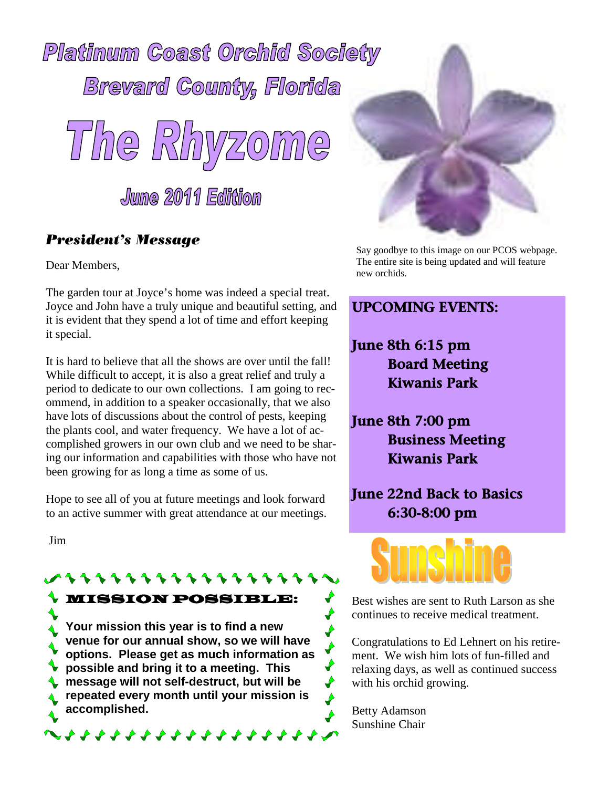



### President's Message

Dear Members,

The garden tour at Joyce's home was indeed a special treat. Joyce and John have a truly unique and beautiful setting, and it is evident that they spend a lot of time and effort keeping it special.

It is hard to believe that all the shows are over until the fall! While difficult to accept, it is also a great relief and truly a period to dedicate to our own collections. I am going to recommend, in addition to a speaker occasionally, that we also have lots of discussions about the control of pests, keeping the plants cool, and water frequency. We have a lot of accomplished growers in our own club and we need to be sharing our information and capabilities with those who have not been growing for as long a time as some of us.

Hope to see all of you at future meetings and look forward to an active summer with great attendance at our meetings.

Jim

MISSION POSSIBLE: **Your mission this year is to find a new venue for our annual show, so we will have benue for our annual show, so we will have**<br>options. Please get as much information as<br>possible and bring it to a meeting. This **possible and bring it to a meeting. This message will not self-destruct, but will be repeated every month until your mission is accomplished.** 



Say goodbye to this image on our PCOS webpage. The entire site is being updated and will feature new orchids.

# UPCOMING EVENTS:

June 8th 6:15 pm Board Meeting Kiwanis Park

June 8th 7:00 pm Business Meeting Kiwanis Park

June 22nd Back to Basics 6:30-8:00 pm



Best wishes are sent to Ruth Larson as she continues to receive medical treatment.

Congratulations to Ed Lehnert on his retirement. We wish him lots of fun-filled and relaxing days, as well as continued success with his orchid growing.

Betty Adamson Sunshine Chair

♦  $\blacklozenge$  $\rightarrow$ 

 $\blacklozenge$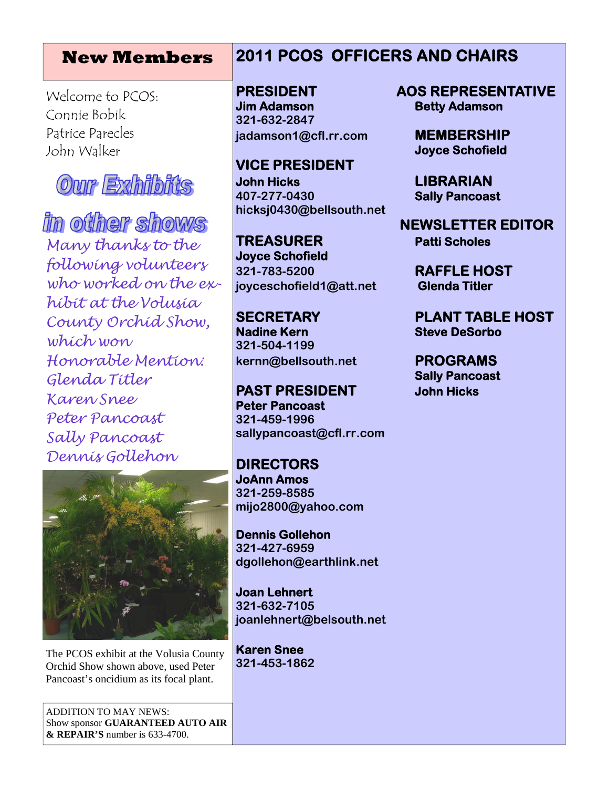## **New Members**

Welcome to PCOS: Connie Bobik Patrice Parecles John Walker



in other shows Many thanks to the following volunteers who worked on the exhibit at the Volusia County Orchid Show, which won Honorable Mention: Glenda Titler Karen Snee Peter Pancoast Sally Pancoast Dennis Gollehon



The PCOS exhibit at the Volusia County Orchid Show shown above, used Peter Pancoast's oncidium as its focal plant.

ADDITION TO MAY NEWS: Show sponsor **GUARANTEED AUTO AIR & REPAIR'S** number is 633-4700.

# **2011 PCOS OFFICERS AND CHAIRS**

**Jim Adamson Betty Adamson 321-632-2847 jadamson1@cfl.rr.com MEMBERSHIP**

**VICE PRESIDENT John Hicks LIBRARIAN 407-277-0430 Sally Pancoast hicksj0430@bellsouth.net**

**TREASURER Patti Scholes Joyce Schofield 321-783-5200 RAFFLE HOST joyceschofield1@att.net Glenda Titler**

**Nadine Kern Steve DeSorbo 321-504-1199 kernn@bellsouth.net PROGRAMS**

**PAST PRESIDENT John Hicks Peter Pancoast 321-459-1996 sallypancoast@cfl.rr.com**

**DIRECTORS JoAnn Amos 321-259-8585 mijo2800@yahoo.com**

**Dennis Gollehon 321-427-6959 dgollehon@earthlink.net**

**Joan Lehnert 321-632-7105 joanlehnert@belsouth.net**

**Karen Snee 321-453-1862**

**PRESIDENT AOS REPRESENTATIVE**

**Joyce Schofield**

**NEWSLETTER EDITOR**

**SECRETARY PLANT TABLE HOST**

**Sally Pancoast**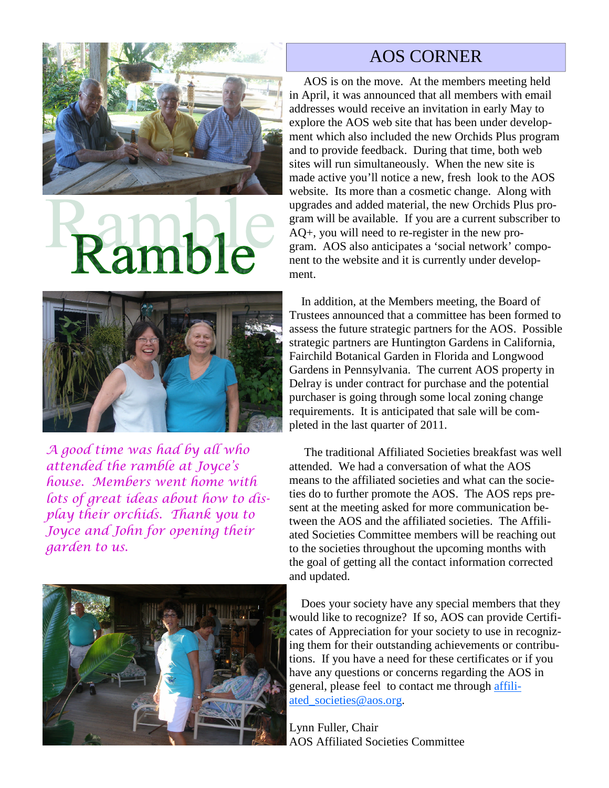

# **Ramble**



A good time was had by all who attended the ramble at Joyce's house. Members went home with lots of great ideas about how to display their orchids. Thank you to Joyce and John for opening their garden to us.



# AOS CORNER

AOS is on the move. At the members meeting held in April, it was announced that all members with email addresses would receive an invitation in early May to explore the AOS web site that has been under development which also included the new Orchids Plus program and to provide feedback. During that time, both web sites will run simultaneously. When the new site is made active you'll notice a new, fresh look to the AOS website. Its more than a cosmetic change. Along with upgrades and added material, the new Orchids Plus program will be available. If you are a current subscriber to AQ+, you will need to re-register in the new program. AOS also anticipates a 'social network' component to the website and it is currently under development.

In addition, at the Members meeting, the Board of Trustees announced that a committee has been formed to assess the future strategic partners for the AOS. Possible strategic partners are Huntington Gardens in California, Fairchild Botanical Garden in Florida and Longwood Gardens in Pennsylvania. The current AOS property in Delray is under contract for purchase and the potential purchaser is going through some local zoning change requirements. It is anticipated that sale will be completed in the last quarter of 2011.

The traditional Affiliated Societies breakfast was well attended. We had a conversation of what the AOS means to the affiliated societies and what can the societies do to further promote the AOS. The AOS reps present at the meeting asked for more communication between the AOS and the affiliated societies. The Affiliated Societies Committee members will be reaching out to the societies throughout the upcoming months with the goal of getting all the contact information corrected and updated.

Does your society have any special members that they would like to recognize? If so, AOS can provide Certificates of Appreciation for your society to use in recognizing them for their outstanding achievements or contributions. If you have a need for these certificates or if you have any questions or concerns regarding the AOS in general, please feel to contact me through affiliated\_societies@aos.org.

Lynn Fuller, Chair AOS Affiliated Societies Committee